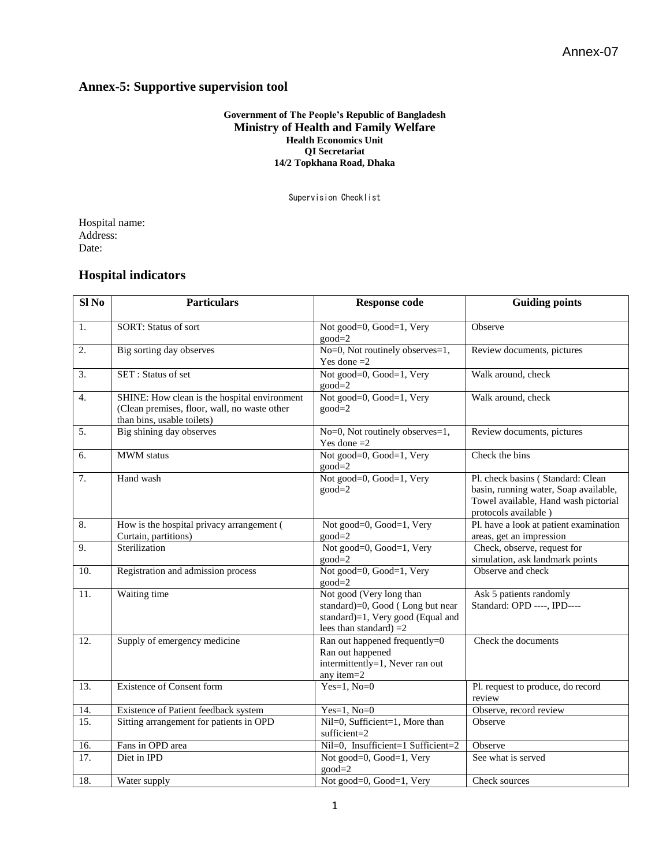## **Annex-5: Supportive supervision tool**

## **Government of The People's Republic of Bangladesh Ministry of Health and Family Welfare Health Economics Unit QI Secretariat 14/2 Topkhana Road, Dhaka**

Supervision Checklist

Hospital name: Address: Date:

## **Hospital indicators**

| Sl <sub>No</sub> | <b>Particulars</b>                                                                                                         | <b>Response code</b>                                                                                                          | <b>Guiding points</b>                                                                                                                      |  |
|------------------|----------------------------------------------------------------------------------------------------------------------------|-------------------------------------------------------------------------------------------------------------------------------|--------------------------------------------------------------------------------------------------------------------------------------------|--|
| 1.               | SORT: Status of sort                                                                                                       | Not good=0, Good=1, Very<br>$good=2$                                                                                          | Observe                                                                                                                                    |  |
| 2.               | Big sorting day observes                                                                                                   | No=0, Not routinely observes=1,<br>Yes done $=2$                                                                              | Review documents, pictures                                                                                                                 |  |
| $\overline{3}$ . | SET: Status of set                                                                                                         | Not good=0, Good=1, Very<br>$good=2$                                                                                          | Walk around, check                                                                                                                         |  |
| $\overline{4}$ . | SHINE: How clean is the hospital environment<br>(Clean premises, floor, wall, no waste other<br>than bins, usable toilets) | Not good=0, Good=1, Very<br>Walk around, check<br>$good=2$                                                                    |                                                                                                                                            |  |
| 5.               | Big shining day observes                                                                                                   | No=0, Not routinely observes=1,<br>Review documents, pictures<br>Yes done $=2$                                                |                                                                                                                                            |  |
| 6.               | <b>MWM</b> status                                                                                                          | Not good=0, Good=1, Very<br>$good=2$                                                                                          | Check the bins                                                                                                                             |  |
| 7.               | Hand wash                                                                                                                  | Not good=0, Good=1, Very<br>$good=2$                                                                                          | Pl. check basins (Standard: Clean<br>basin, running water, Soap available,<br>Towel available, Hand wash pictorial<br>protocols available) |  |
| 8.               | How is the hospital privacy arrangement (<br>Curtain, partitions)                                                          | Not good=0, Good=1, Very<br>$good=2$                                                                                          | Pl. have a look at patient examination<br>areas, get an impression                                                                         |  |
| 9.               | Sterilization                                                                                                              | Not good=0, Good=1, Very<br>$good=2$                                                                                          | Check, observe, request for<br>simulation, ask landmark points                                                                             |  |
| 10.              | Registration and admission process                                                                                         | Not good=0, Good=1, Very<br>$good=2$                                                                                          | Observe and check                                                                                                                          |  |
| 11.              | Waiting time                                                                                                               | Not good (Very long than<br>standard)=0, Good (Long but near<br>standard)=1, Very good (Equal and<br>lees than standard) $=2$ | Ask 5 patients randomly<br>Standard: OPD ----, IPD----                                                                                     |  |
| 12.              | Supply of emergency medicine                                                                                               | Ran out happened frequently=0<br>Ran out happened<br>intermittently=1, Never ran out<br>any item=2                            | Check the documents                                                                                                                        |  |
| 13.              | <b>Existence of Consent form</b>                                                                                           | Yes=1, $No=0$                                                                                                                 | Pl. request to produce, do record<br>review                                                                                                |  |
| 14.              | Existence of Patient feedback system                                                                                       | $Yes=1, No=0$                                                                                                                 | Observe, record review                                                                                                                     |  |
| 15.              | Sitting arrangement for patients in OPD                                                                                    | Nil=0, Sufficient=1, More than<br>sufficient=2                                                                                | Observe                                                                                                                                    |  |
| 16.              | Fans in OPD area                                                                                                           | Nil=0, Insufficient=1 Sufficient=2                                                                                            | Observe                                                                                                                                    |  |
| 17.              | Diet in IPD                                                                                                                | Not good=0, Good=1, Very<br>$good=2$                                                                                          | See what is served                                                                                                                         |  |
| 18.              | Water supply                                                                                                               | Not good=0, Good=1, Very                                                                                                      | Check sources                                                                                                                              |  |